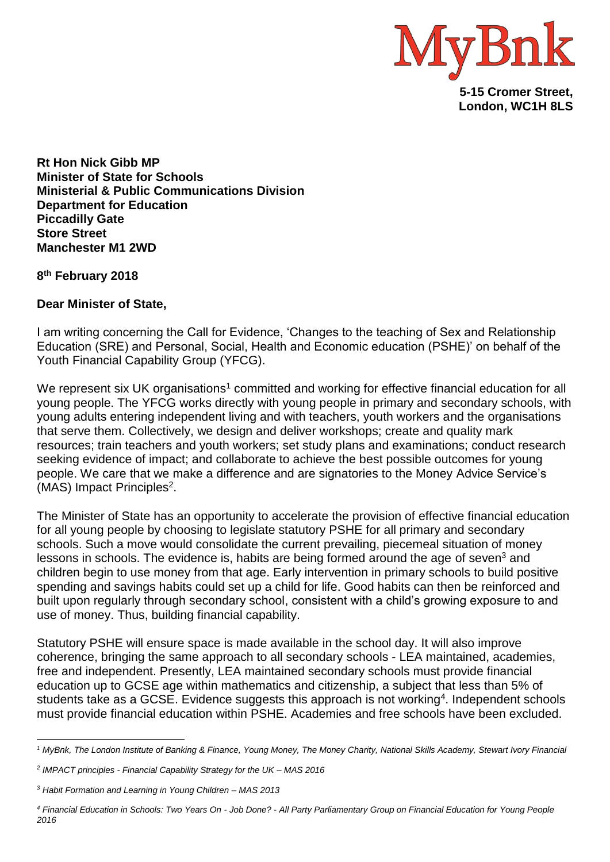

**London, WC1H 8LS**

**Rt Hon Nick Gibb MP Minister of State for Schools Ministerial & Public Communications Division Department for Education Piccadilly Gate Store Street Manchester M1 2WD**

**8 th February 2018**

## **Dear Minister of State,**

I am writing concerning the Call for Evidence, 'Changes to the teaching of Sex and Relationship Education (SRE) and Personal, Social, Health and Economic education (PSHE)' on behalf of the Youth Financial Capability Group (YFCG).

We represent six UK organisations<sup>1</sup> committed and working for effective financial education for all young people. The YFCG works directly with young people in primary and secondary schools, with young adults entering independent living and with teachers, youth workers and the organisations that serve them. Collectively, we design and deliver workshops; create and quality mark resources; train teachers and youth workers; set study plans and examinations; conduct research seeking evidence of impact; and collaborate to achieve the best possible outcomes for young people. We care that we make a difference and are signatories to the Money Advice Service's (MAS) Impact Principles<sup>2</sup>.

The Minister of State has an opportunity to accelerate the provision of effective financial education for all young people by choosing to legislate statutory PSHE for all primary and secondary schools. Such a move would consolidate the current prevailing, piecemeal situation of money lessons in schools. The evidence is, habits are being formed around the age of seven<sup>3</sup> and children begin to use money from that age. Early intervention in primary schools to build positive spending and savings habits could set up a child for life. Good habits can then be reinforced and built upon regularly through secondary school, consistent with a child's growing exposure to and use of money. Thus, building financial capability.

Statutory PSHE will ensure space is made available in the school day. It will also improve coherence, bringing the same approach to all secondary schools - LEA maintained, academies, free and independent. Presently, LEA maintained secondary schools must provide financial education up to GCSE age within mathematics and citizenship, a subject that less than 5% of students take as a GCSE. Evidence suggests this approach is not working<sup>4</sup>. Independent schools must provide financial education within PSHE. Academies and free schools have been excluded.

<sup>1</sup> *<sup>1</sup> MyBnk, The London Institute of Banking & Finance, Young Money, The Money Charity, National Skills Academy, Stewart Ivory Financial*

*<sup>2</sup> IMPACT principles - Financial Capability Strategy for the UK – MAS 2016*

*<sup>3</sup> Habit Formation and Learning in Young Children – MAS 2013*

*<sup>4</sup> Financial Education in Schools: Two Years On - Job Done? - All Party Parliamentary Group on Financial Education for Young People 2016*